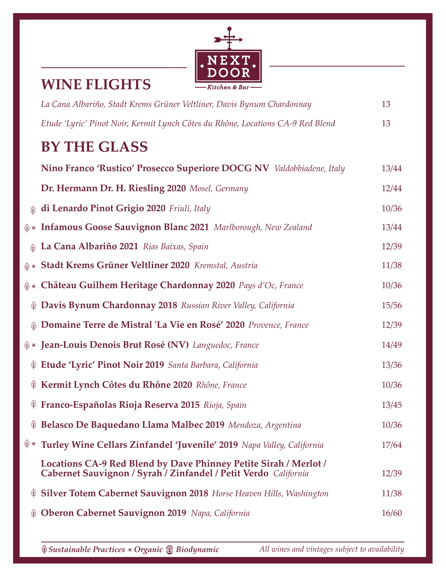#### EXT Ν  $\bf D$ Kitchen & Bar

#### **WINE FLIGHTS**

| La Cana Albariño, Stadt Krems Grüner Veltliner, Davis Bynum Chardonnay                                                              | 13                                                                                                                                                                                                                                                                                                                                                                                                                                                                             |
|-------------------------------------------------------------------------------------------------------------------------------------|--------------------------------------------------------------------------------------------------------------------------------------------------------------------------------------------------------------------------------------------------------------------------------------------------------------------------------------------------------------------------------------------------------------------------------------------------------------------------------|
| Etude 'Lyric' Pinot Noir, Kermit Lynch Côtes du Rhône, Locations CA-9 Red Blend                                                     | 13                                                                                                                                                                                                                                                                                                                                                                                                                                                                             |
| <b>BY THE GLASS</b>                                                                                                                 |                                                                                                                                                                                                                                                                                                                                                                                                                                                                                |
| Nino Franco 'Rustico' Prosecco Superiore DOCG NV Valdobbiadene, Italy                                                               | 13/44                                                                                                                                                                                                                                                                                                                                                                                                                                                                          |
| Dr. Hermann Dr. H. Riesling 2020 Mosel, Germany                                                                                     | 12/44                                                                                                                                                                                                                                                                                                                                                                                                                                                                          |
| di Lenardo Pinot Grigio 2020 Friuli, Italy                                                                                          | 10/36                                                                                                                                                                                                                                                                                                                                                                                                                                                                          |
|                                                                                                                                     | 13/44                                                                                                                                                                                                                                                                                                                                                                                                                                                                          |
| La Cana Albariño 2021 Rías Baixas, Spain                                                                                            | 12/39                                                                                                                                                                                                                                                                                                                                                                                                                                                                          |
|                                                                                                                                     | 11/38                                                                                                                                                                                                                                                                                                                                                                                                                                                                          |
|                                                                                                                                     | 10/36                                                                                                                                                                                                                                                                                                                                                                                                                                                                          |
| Davis Bynum Chardonnay 2018 Russian River Valley, California                                                                        | 15/56                                                                                                                                                                                                                                                                                                                                                                                                                                                                          |
| Domaine Terre de Mistral 'La Vie en Rosé' 2020 Provence, France                                                                     | 12/39                                                                                                                                                                                                                                                                                                                                                                                                                                                                          |
|                                                                                                                                     | 14/49                                                                                                                                                                                                                                                                                                                                                                                                                                                                          |
| Etude 'Lyric' Pinot Noir 2019 Santa Barbara, California                                                                             | 13/36                                                                                                                                                                                                                                                                                                                                                                                                                                                                          |
| Kermit Lynch Côtes du Rhône 2020 Rhône, France                                                                                      | 10/36                                                                                                                                                                                                                                                                                                                                                                                                                                                                          |
| Franco-Españolas Rioja Reserva 2015 Rioja, Spain                                                                                    | 13/45                                                                                                                                                                                                                                                                                                                                                                                                                                                                          |
|                                                                                                                                     | 10/36                                                                                                                                                                                                                                                                                                                                                                                                                                                                          |
| Turley Wine Cellars Zinfandel 'Juvenile' 2019 Napa Valley, California                                                               | 17/64                                                                                                                                                                                                                                                                                                                                                                                                                                                                          |
| Locations CA-9 Red Blend by Dave Phinney Petite Sirah / Merlot /<br>Cabernet Sauvignon / Syrah / Zinfandel / Petit Verdo California | 12/39                                                                                                                                                                                                                                                                                                                                                                                                                                                                          |
| <b>Silver Totem Cabernet Sauvignon 2018</b> Horse Heaven Hills, Washington                                                          | 11/38                                                                                                                                                                                                                                                                                                                                                                                                                                                                          |
| Oberon Cabernet Sauvignon 2019 Napa, California                                                                                     | 16/60                                                                                                                                                                                                                                                                                                                                                                                                                                                                          |
|                                                                                                                                     | $\circledast$ * Infamous Goose Sauvignon Blanc 2021 Marlborough, New Zealand<br>$\circledast$<br>$\textcircled{A} *$ Stadt Krems Grüner Veltliner 2020 Kremstal, Austria<br>$\circledast$ * Château Guilhem Heritage Chardonnay 2020 Pays d'Oc, France<br>$\circledast$<br>$\hat{\mathcal{P}}$ * Jean-Louis Denois Brut Rosé (NV) Languedoc, France<br>$\circledast$<br>$\circledast$<br>$\circledast$<br>@ Belasco De Baquedano Llama Malbec 2019 Mendoza, Argentina<br>(†) * |

*Sustainable Practices Organic All wines and vintages subject to availability* \* *Biodynamic*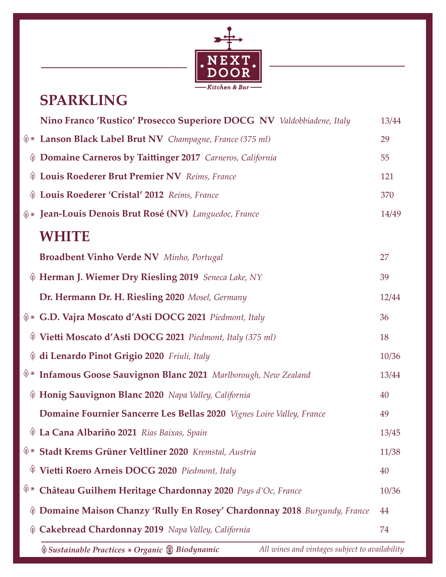

# **SPARKLING**

|               | Nino Franco 'Rustico' Prosecco Superiore DOCG NV Valdobbiadene, Italy                          | 13/44 |
|---------------|------------------------------------------------------------------------------------------------|-------|
|               | $\textcircled{*}$ Lanson Black Label Brut NV Champagne, France (375 ml)                        | 29    |
| $\circledast$ | Domaine Carneros by Taittinger 2017 Carneros, California                                       | 55    |
| $\circledast$ | Louis Roederer Brut Premier NV Reims, France                                                   | 121   |
| $\circledast$ | Louis Roederer 'Cristal' 2012 Reims, France                                                    | 370   |
|               | $\textcircled{*}$ Jean-Louis Denois Brut Rosé (NV) Languedoc, France                           | 14/49 |
|               | <b>WHITE</b>                                                                                   |       |
|               | <b>Broadbent Vinho Verde NV</b> Minho, Portugal                                                | 27    |
|               | Herman J. Wiemer Dry Riesling 2019 Seneca Lake, NY                                             | 39    |
|               | Dr. Hermann Dr. H. Riesling 2020 Mosel, Germany                                                | 12/44 |
|               | $\textcircled{*}$ G.D. Vajra Moscato d'Asti DOCG 2021 Piedmont, Italy                          | 36    |
| $\circledast$ | Vietti Moscato d'Asti DOCG 2021 Piedmont, Italy (375 ml)                                       | 18    |
| $\circledast$ | di Lenardo Pinot Grigio 2020 Friuli, Italy                                                     | 10/36 |
|               | <sup>\@*</sup> Infamous Goose Sauvignon Blanc 2021 Marlborough, New Zealand                    | 13/44 |
|               | Honig Sauvignon Blanc 2020 Napa Valley, California                                             | 40    |
|               | Domaine Fournier Sancerre Les Bellas 2020 Vignes Loire Valley, France                          | 49    |
|               | V La Cana Albariño 2021 Rías Baixas, Spain                                                     | 13/45 |
|               | <sup><math>(*)</math>*</sup> Stadt Krems Grüner Veltliner 2020 Kremstal, Austria               | 11/38 |
| $\circledast$ | Vietti Roero Arneis DOCG 2020 Piedmont, Italy                                                  | 40    |
| (†) *         | Château Guilhem Heritage Chardonnay 2020 Pays d'Oc, France                                     | 10/36 |
|               | Domaine Maison Chanzy 'Rully En Rosey' Chardonnay 2018 Burgundy, France                        | 44    |
|               | Cakebread Chardonnay 2019 Napa Valley, California                                              | 74    |
|               | Sustainable Practices * Organic & Biodynamic<br>All wines and vintages subject to availability |       |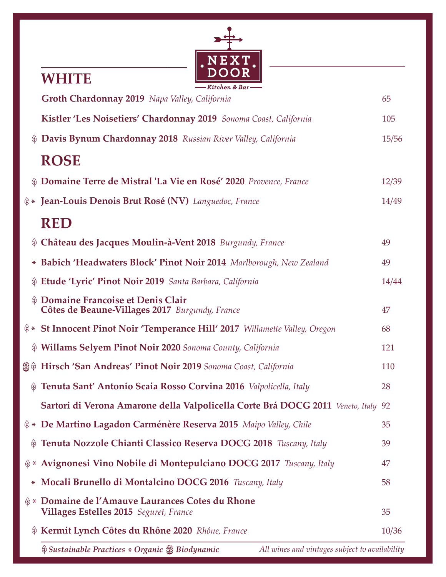

### **WHITE**

|               | —— Kitchen & Bar ——                                                                               |       |
|---------------|---------------------------------------------------------------------------------------------------|-------|
|               | Groth Chardonnay 2019 Napa Valley, California                                                     | 65    |
|               | Kistler 'Les Noisetiers' Chardonnay 2019 Sonoma Coast, California                                 | 105   |
|               | Davis Bynum Chardonnay 2018 Russian River Valley, California                                      | 15/56 |
|               | <b>ROSE</b>                                                                                       |       |
|               | <b>(a) Domaine Terre de Mistral 'La Vie en Rosé' 2020</b> Provence, France                        | 12/39 |
|               | $\hat{\phi}$ * Jean-Louis Denois Brut Rosé (NV) Languedoc, France                                 | 14/49 |
|               | <b>RED</b>                                                                                        |       |
|               | Château des Jacques Moulin-à-Vent 2018 Burgundy, France                                           | 49    |
| $\ast$        | Babich 'Headwaters Block' Pinot Noir 2014 Marlborough, New Zealand                                | 49    |
|               | Etude 'Lyric' Pinot Noir 2019 Santa Barbara, California                                           | 14/44 |
| $\circledast$ | Domaine Francoise et Denis Clair<br>Côtes de Beaune-Villages 2017 Burgundy, France                | 47    |
|               | $(*) *$ St Innocent Pinot Noir 'Temperance Hill' 2017 Willamette Valley, Oregon                   | 68    |
|               | Willams Selyem Pinot Noir 2020 Sonoma County, California                                          | 121   |
|               | Se Hirsch 'San Andreas' Pinot Noir 2019 Sonoma Coast, California                                  | 110   |
| (†)           | Tenuta Sant' Antonio Scaia Rosso Corvina 2016 Valpolicella, Italy                                 | 28    |
|               | Sartori di Verona Amarone della Valpolicella Corte Brá DOCG 2011 Veneto, Italy 92                 |       |
|               | $\hat{\phi}$ * De Martino Lagadon Carménère Reserva 2015 Maipo Valley, Chile                      | 35    |
| $\circledast$ | Tenuta Nozzole Chianti Classico Reserva DOCG 2018 Tuscany, Italy                                  | 39    |
|               | $\hat{\phi}$ * Avignonesi Vino Nobile di Montepulciano DOCG 2017 Tuscany, Italy                   | 47    |
| $\ast$        | Mocali Brunello di Montalcino DOCG 2016 Tuscany, Italy                                            | 58    |
|               | <b>♦ ► Domaine de l'Amauve Laurances Cotes du Rhone</b><br>Villages Estelles 2015 Seguret, France | 35    |
|               | Kermit Lynch Côtes du Rhône 2020 Rhône, France                                                    | 10/36 |
|               |                                                                                                   |       |

*Sustainable Practices Organic All wines and vintages subject to availability* \* *Biodynamic*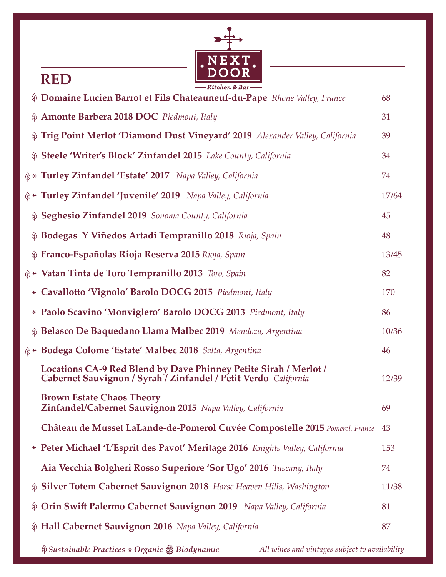

#### **RED**

|               | - Kitchen & Bar <del>- - -</del>                                                                                                    |       |
|---------------|-------------------------------------------------------------------------------------------------------------------------------------|-------|
|               | <b>Domaine Lucien Barrot et Fils Chateauneuf-du-Pape</b> Rhone Valley, France                                                       | 68    |
|               | 4 Amonte Barbera 2018 DOC Piedmont, Italy                                                                                           | 31    |
|               | Trig Point Merlot 'Diamond Dust Vineyard' 2019 Alexander Valley, California                                                         | 39    |
|               | Steele 'Writer's Block' Zinfandel 2015 Lake County, California                                                                      | 34    |
|               | $\textcircled{*}$ Turley Zinfandel 'Estate' 2017 Napa Valley, California                                                            | 74    |
|               | $\textcircled{*}$ Turley Zinfandel 'Juvenile' 2019 Napa Valley, California                                                          | 17/64 |
|               | Seghesio Zinfandel 2019 Sonoma County, California                                                                                   | 45    |
|               | ® Bodegas Y Viñedos Artadi Tempranillo 2018 Rioja, Spain                                                                            | 48    |
|               | Hanco-Españolas Rioja Reserva 2015 Rioja, Spain                                                                                     | 13/45 |
|               | $\textcircled{*}$ Vatan Tinta de Toro Tempranillo 2013 Toro, Spain                                                                  | 82    |
|               | * Cavallotto 'Vignolo' Barolo DOCG 2015 Piedmont, Italy                                                                             | 170   |
|               | * Paolo Scavino 'Monviglero' Barolo DOCG 2013 Piedmont, Italy                                                                       | 86    |
|               | Helasco De Baquedano Llama Malbec 2019 Mendoza, Argentina                                                                           | 10/36 |
|               | $\textcircled{*}$ Bodega Colome 'Estate' Malbec 2018 Salta, Argentina                                                               | 46    |
|               | Locations CA-9 Red Blend by Dave Phinney Petite Sirah / Merlot /<br>Cabernet Sauvignon / Syrah / Zinfandel / Petit Verdo California | 12/39 |
|               | <b>Brown Estate Chaos Theory</b><br>Zinfandel/Cabernet Sauvignon 2015 Napa Valley, California                                       | 69    |
|               | Château de Musset LaLande-de-Pomerol Cuvée Compostelle 2015 Pomerol, France                                                         | 43    |
|               | * Peter Michael 'L'Esprit des Pavot' Meritage 2016 Knights Valley, California                                                       | 153   |
|               | Aia Vecchia Bolgheri Rosso Superiore 'Sor Ugo' 2016 Tuscany, Italy                                                                  | 74    |
| $\circledast$ | <b>Silver Totem Cabernet Sauvignon 2018</b> Horse Heaven Hills, Washington                                                          | 11/38 |
| (†)           | Orin Swift Palermo Cabernet Sauvignon 2019 Napa Valley, California                                                                  | 81    |
|               | Hall Cabernet Sauvignon 2016 Napa Valley, California                                                                                | 87    |
|               |                                                                                                                                     |       |

*Sustainable Practices Organic All wines and vintages subject to availability* \* *Biodynamic*